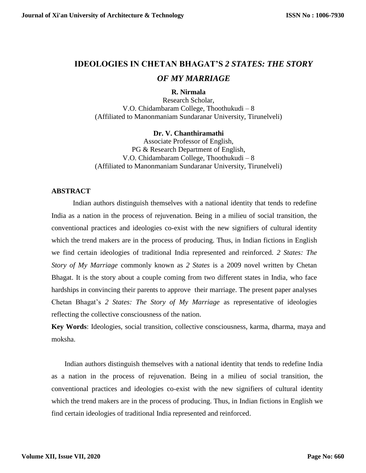# **IDEOLOGIES IN CHETAN BHAGAT'S** *2 STATES: THE STORY OF MY MARRIAGE*

### **R. Nirmala**

Research Scholar, V.O. Chidambaram College, Thoothukudi – 8 (Affiliated to Manonmaniam Sundaranar University, Tirunelveli)

#### **Dr. V. Chanthiramathi**

Associate Professor of English, PG & Research Department of English, V.O. Chidambaram College, Thoothukudi – 8 (Affiliated to Manonmaniam Sundaranar University, Tirunelveli)

## **ABSTRACT**

Indian authors distinguish themselves with a national identity that tends to redefine India as a nation in the process of rejuvenation. Being in a milieu of social transition, the conventional practices and ideologies co-exist with the new signifiers of cultural identity which the trend makers are in the process of producing. Thus, in Indian fictions in English we find certain ideologies of traditional India represented and reinforced. *2 States: The Story of My Marriage* commonly known as *2 States* is a 2009 novel written by Chetan Bhagat. It is the story about a couple coming from two different states in India, who face hardships in convincing their parents to approve their marriage. The present paper analyses Chetan Bhagat's *2 States: The Story of My Marriage* as representative of ideologies reflecting the collective consciousness of the nation.

**Key Words**: Ideologies, social transition, collective consciousness, karma, dharma, maya and moksha.

Indian authors distinguish themselves with a national identity that tends to redefine India as a nation in the process of rejuvenation. Being in a milieu of social transition, the conventional practices and ideologies co-exist with the new signifiers of cultural identity which the trend makers are in the process of producing. Thus, in Indian fictions in English we find certain ideologies of traditional India represented and reinforced.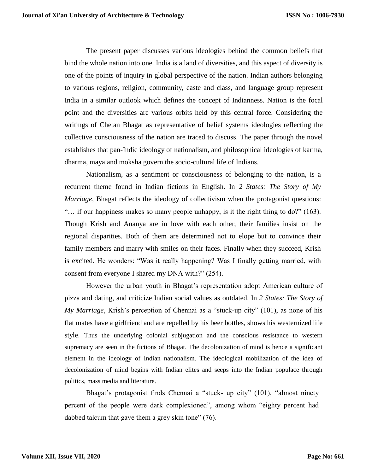The present paper discusses various ideologies behind the common beliefs that bind the whole nation into one. India is a land of diversities, and this aspect of diversity is one of the points of inquiry in global perspective of the nation. Indian authors belonging to various regions, religion, community, caste and class, and language group represent India in a similar outlook which defines the concept of Indianness. Nation is the focal point and the diversities are various orbits held by this central force. Considering the writings of Chetan Bhagat as representative of belief systems ideologies reflecting the collective consciousness of the nation are traced to discuss. The paper through the novel establishes that pan-Indic ideology of nationalism, and philosophical ideologies of karma, dharma, maya and moksha govern the socio-cultural life of Indians.

Nationalism, as a sentiment or consciousness of belonging to the nation, is a recurrent theme found in Indian fictions in English. In *2 States: The Story of My Marriage*, Bhagat reflects the ideology of collectivism when the protagonist questions: "… if our happiness makes so many people unhappy, is it the right thing to do?" (163). Though Krish and Ananya are in love with each other, their families insist on the regional disparities. Both of them are determined not to elope but to convince their family members and marry with smiles on their faces. Finally when they succeed, Krish is excited. He wonders: "Was it really happening? Was I finally getting married, with consent from everyone I shared my DNA with?" (254).

However the urban youth in Bhagat's representation adopt American culture of pizza and dating, and criticize Indian social values as outdated. In *2 States: The Story of My Marriage*, Krish's perception of Chennai as a "stuck-up city" (101), as none of his flat mates have a girlfriend and are repelled by his beer bottles, shows his westernized life style. Thus the underlying colonial subjugation and the conscious resistance to western supremacy are seen in the fictions of Bhagat. The decolonization of mind is hence a significant element in the ideology of Indian nationalism. The ideological mobilization of the idea of decolonization of mind begins with Indian elites and seeps into the Indian populace through politics, mass media and literature.

Bhagat's protagonist finds Chennai a "stuck- up city" (101), "almost ninety percent of the people were dark complexioned", among whom "eighty percent had dabbed talcum that gave them a grey skin tone" (76).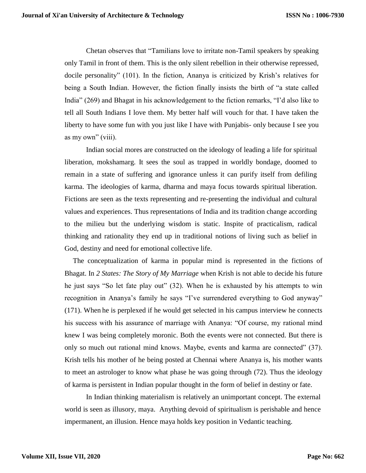Chetan observes that "Tamilians love to irritate non-Tamil speakers by speaking only Tamil in front of them. This is the only silent rebellion in their otherwise repressed, docile personality" (101). In the fiction, Ananya is criticized by Krish's relatives for being a South Indian. However, the fiction finally insists the birth of "a state called India" (269) and Bhagat in his acknowledgement to the fiction remarks, "I'd also like to tell all South Indians I love them. My better half will vouch for that. I have taken the liberty to have some fun with you just like I have with Punjabis- only because I see you as my own" (viii).

Indian social mores are constructed on the ideology of leading a life for spiritual liberation, mokshamarg. It sees the soul as trapped in worldly bondage, doomed to remain in a state of suffering and ignorance unless it can purify itself from defiling karma. The ideologies of karma, dharma and maya focus towards spiritual liberation. Fictions are seen as the texts representing and re-presenting the individual and cultural values and experiences. Thus representations of India and its tradition change according to the milieu but the underlying wisdom is static. Inspite of practicalism, radical thinking and rationality they end up in traditional notions of living such as belief in God, destiny and need for emotional collective life.

The conceptualization of karma in popular mind is represented in the fictions of Bhagat. In *2 States: The Story of My Marriage* when Krish is not able to decide his future he just says "So let fate play out" (32). When he is exhausted by his attempts to win recognition in Ananya's family he says "I've surrendered everything to God anyway" (171). When he is perplexed if he would get selected in his campus interview he connects his success with his assurance of marriage with Ananya: "Of course, my rational mind knew I was being completely moronic. Both the events were not connected. But there is only so much out rational mind knows. Maybe, events and karma are connected" (37). Krish tells his mother of he being posted at Chennai where Ananya is, his mother wants to meet an astrologer to know what phase he was going through (72). Thus the ideology of karma is persistent in Indian popular thought in the form of belief in destiny or fate.

In Indian thinking materialism is relatively an unimportant concept. The external world is seen as illusory, maya. Anything devoid of spiritualism is perishable and hence impermanent, an illusion. Hence maya holds key position in Vedantic teaching.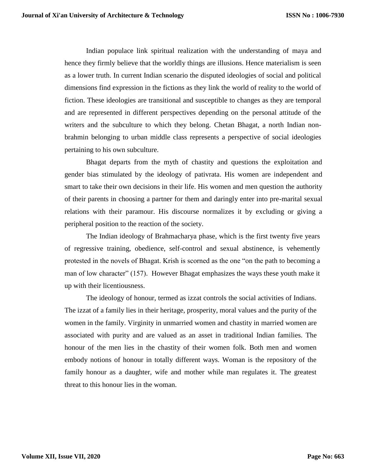Indian populace link spiritual realization with the understanding of maya and hence they firmly believe that the worldly things are illusions. Hence materialism is seen as a lower truth. In current Indian scenario the disputed ideologies of social and political dimensions find expression in the fictions as they link the world of reality to the world of fiction. These ideologies are transitional and susceptible to changes as they are temporal and are represented in different perspectives depending on the personal attitude of the writers and the subculture to which they belong. Chetan Bhagat, a north Indian nonbrahmin belonging to urban middle class represents a perspective of social ideologies pertaining to his own subculture.

Bhagat departs from the myth of chastity and questions the exploitation and gender bias stimulated by the ideology of pativrata. His women are independent and smart to take their own decisions in their life. His women and men question the authority of their parents in choosing a partner for them and daringly enter into pre-marital sexual relations with their paramour. His discourse normalizes it by excluding or giving a peripheral position to the reaction of the society.

The Indian ideology of Brahmacharya phase, which is the first twenty five years of regressive training, obedience, self-control and sexual abstinence, is vehemently protested in the novels of Bhagat. Krish is scorned as the one "on the path to becoming a man of low character" (157). However Bhagat emphasizes the ways these youth make it up with their licentiousness.

The ideology of honour, termed as izzat controls the social activities of Indians. The izzat of a family lies in their heritage, prosperity, moral values and the purity of the women in the family. Virginity in unmarried women and chastity in married women are associated with purity and are valued as an asset in traditional Indian families. The honour of the men lies in the chastity of their women folk. Both men and women embody notions of honour in totally different ways. Woman is the repository of the family honour as a daughter, wife and mother while man regulates it. The greatest threat to this honour lies in the woman.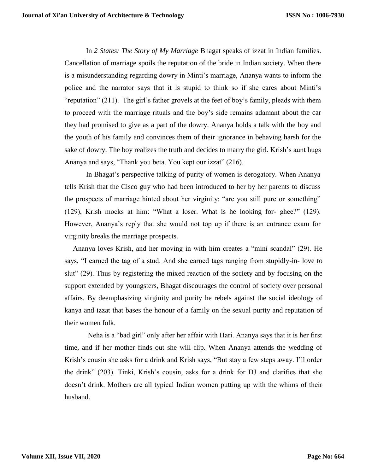In *2 States: The Story of My Marriage* Bhagat speaks of izzat in Indian families. Cancellation of marriage spoils the reputation of the bride in Indian society. When there is a misunderstanding regarding dowry in Minti's marriage, Ananya wants to inform the police and the narrator says that it is stupid to think so if she cares about Minti's "reputation" (211). The girl's father grovels at the feet of boy's family, pleads with them to proceed with the marriage rituals and the boy's side remains adamant about the car they had promised to give as a part of the dowry. Ananya holds a talk with the boy and the youth of his family and convinces them of their ignorance in behaving harsh for the sake of dowry. The boy realizes the truth and decides to marry the girl. Krish's aunt hugs Ananya and says, "Thank you beta. You kept our izzat" (216).

In Bhagat's perspective talking of purity of women is derogatory. When Ananya tells Krish that the Cisco guy who had been introduced to her by her parents to discuss the prospects of marriage hinted about her virginity: "are you still pure or something" (129), Krish mocks at him: "What a loser. What is he looking for- ghee?" (129). However, Ananya's reply that she would not top up if there is an entrance exam for virginity breaks the marriage prospects.

Ananya loves Krish, and her moving in with him creates a "mini scandal" (29). He says, "I earned the tag of a stud. And she earned tags ranging from stupidly-in- love to slut" (29). Thus by registering the mixed reaction of the society and by focusing on the support extended by youngsters, Bhagat discourages the control of society over personal affairs. By deemphasizing virginity and purity he rebels against the social ideology of kanya and izzat that bases the honour of a family on the sexual purity and reputation of their women folk.

Neha is a "bad girl" only after her affair with Hari. Ananya says that it is her first time, and if her mother finds out she will flip. When Ananya attends the wedding of Krish's cousin she asks for a drink and Krish says, "But stay a few steps away. I'll order the drink" (203). Tinki, Krish's cousin, asks for a drink for DJ and clarifies that she doesn't drink. Mothers are all typical Indian women putting up with the whims of their husband.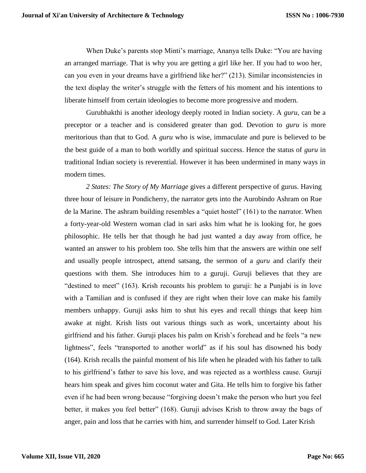When Duke's parents stop Minti's marriage, Ananya tells Duke: "You are having an arranged marriage. That is why you are getting a girl like her. If you had to woo her, can you even in your dreams have a girlfriend like her?" (213). Similar inconsistencies in the text display the writer's struggle with the fetters of his moment and his intentions to liberate himself from certain ideologies to become more progressive and modern.

Gurubhakthi is another ideology deeply rooted in Indian society. A *guru*, can be a preceptor or a teacher and is considered greater than god. Devotion to *guru* is more meritorious than that to God. A *guru* who is wise, immaculate and pure is believed to be the best guide of a man to both worldly and spiritual success. Hence the status of *guru* in traditional Indian society is reverential. However it has been undermined in many ways in modern times.

*2 States: The Story of My Marriage* gives a different perspective of gurus. Having three hour of leisure in Pondicherry, the narrator gets into the Aurobindo Ashram on Rue de la Marine. The ashram building resembles a "quiet hostel" (161) to the narrator. When a forty-year-old Western woman clad in sari asks him what he is looking for, he goes philosophic. He tells her that though he had just wanted a day away from office, he wanted an answer to his problem too. She tells him that the answers are within one self and usually people introspect, attend satsang, the sermon of a *guru* and clarify their questions with them. She introduces him to a guruji. Guruji believes that they are "destined to meet" (163). Krish recounts his problem to guruji: he a Punjabi is in love with a Tamilian and is confused if they are right when their love can make his family members unhappy. Guruji asks him to shut his eyes and recall things that keep him awake at night. Krish lists out various things such as work, uncertainty about his girlfriend and his father. Guruji places his palm on Krish's forehead and he feels "a new lightness", feels "transported to another world" as if his soul has disowned his body (164). Krish recalls the painful moment of his life when he pleaded with his father to talk to his girlfriend's father to save his love, and was rejected as a worthless cause. Guruji hears him speak and gives him coconut water and Gita. He tells him to forgive his father even if he had been wrong because "forgiving doesn't make the person who hurt you feel better, it makes you feel better" (168). Guruji advises Krish to throw away the bags of anger, pain and loss that he carries with him, and surrender himself to God. Later Krish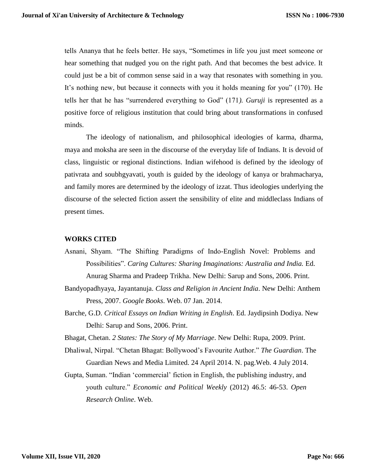tells Ananya that he feels better. He says, "Sometimes in life you just meet someone or hear something that nudged you on the right path. And that becomes the best advice. It could just be a bit of common sense said in a way that resonates with something in you. It's nothing new, but because it connects with you it holds meaning for you" (170). He tells her that he has "surrendered everything to God" (171*). Guruji* is represented as a positive force of religious institution that could bring about transformations in confused minds.

The ideology of nationalism, and philosophical ideologies of karma, dharma, maya and moksha are seen in the discourse of the everyday life of Indians. It is devoid of class, linguistic or regional distinctions. Indian wifehood is defined by the ideology of pativrata and soubhgyavati, youth is guided by the ideology of kanya or brahmacharya, and family mores are determined by the ideology of izzat. Thus ideologies underlying the discourse of the selected fiction assert the sensibility of elite and middleclass Indians of present times.

## **WORKS CITED**

- Asnani, Shyam. "The Shifting Paradigms of Indo-English Novel: Problems and Possibilities". *Caring Cultures: Sharing Imaginations: Australia and India. Ed.* Anurag Sharma and Pradeep Trikha. New Delhi: Sarup and Sons, 2006. Print.
- Bandyopadhyaya, Jayantanuja. *Class and Religion in Ancient India*. New Delhi: Anthem Press, 2007. *Google Books*. Web. 07 Jan. 2014.
- Barche, G.D. *Critical Essays on Indian Writing in English*. Ed. Jaydipsinh Dodiya. New Delhi: Sarup and Sons, 2006. Print.
- Bhagat, Chetan. *2 States: The Story of My Marriage*. New Delhi: Rupa, 2009. Print.
- Dhaliwal, Nirpal. "Chetan Bhagat: Bollywood's Favourite Author." *The Guardian*. The Guardian News and Media Limited. 24 April 2014. N. pag.Web. 4 July 2014.
- Gupta, Suman. "Indian 'commercial' fiction in English, the publishing industry, and youth culture." *Economic and Political Weekly* (2012) 46.5: 46-53. *Open Research Online*. Web.